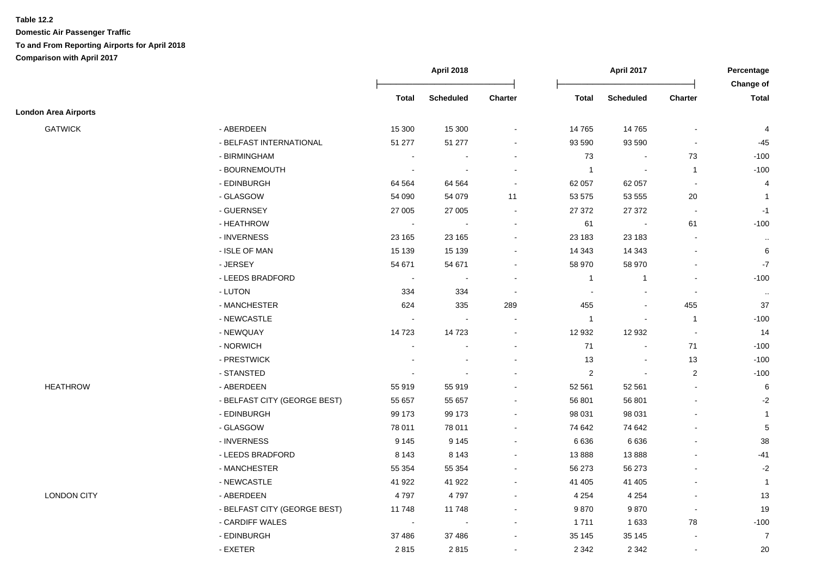|                             |                              | <b>April 2018</b> |                  | <b>April 2017</b>        |                |                          | Percentage               |                           |
|-----------------------------|------------------------------|-------------------|------------------|--------------------------|----------------|--------------------------|--------------------------|---------------------------|
|                             |                              | <b>Total</b>      | <b>Scheduled</b> | Charter                  | <b>Total</b>   | <b>Scheduled</b>         | Charter                  | Change of<br><b>Total</b> |
| <b>London Area Airports</b> |                              |                   |                  |                          |                |                          |                          |                           |
| <b>GATWICK</b>              | - ABERDEEN                   | 15 300            | 15 300           | $\blacksquare$           | 14765          | 14 7 65                  | $\blacksquare$           | 4                         |
|                             | - BELFAST INTERNATIONAL      | 51 277            | 51 277           | $\blacksquare$           | 93 590         | 93 590                   | $\blacksquare$           | $-45$                     |
|                             | - BIRMINGHAM                 | $\sim$            |                  |                          | 73             |                          | 73                       | $-100$                    |
|                             | - BOURNEMOUTH                | $\sim$            |                  |                          | $\overline{1}$ | $\overline{\phantom{a}}$ | $\mathbf{1}$             | $-100$                    |
|                             | - EDINBURGH                  | 64 5 64           | 64 5 64          | $\blacksquare$           | 62 057         | 62 057                   | $\sim$                   | 4                         |
|                             | - GLASGOW                    | 54 090            | 54 079           | 11                       | 53 575         | 53 555                   | 20                       | $\mathbf{1}$              |
|                             | - GUERNSEY                   | 27 005            | 27 005           | $\blacksquare$           | 27 372         | 27 372                   | $\blacksquare$           | $-1$                      |
|                             | - HEATHROW                   | $\blacksquare$    | $\blacksquare$   | $\overline{\phantom{a}}$ | 61             | $\blacksquare$           | 61                       | $-100$                    |
|                             | - INVERNESS                  | 23 165            | 23 165           | $\blacksquare$           | 23 183         | 23 183                   | $\sim$                   | $\sim$                    |
|                             | - ISLE OF MAN                | 15 139            | 15 139           | $\blacksquare$           | 14 343         | 14 343                   | $\overline{\phantom{a}}$ | 6                         |
|                             | - JERSEY                     | 54 671            | 54 671           |                          | 58 970         | 58 970                   |                          | $-7$                      |
|                             | - LEEDS BRADFORD             | $\blacksquare$    |                  |                          | $\overline{1}$ | $\overline{1}$           | $\blacksquare$           | $-100$                    |
|                             | - LUTON                      | 334               | 334              | $\blacksquare$           | $\blacksquare$ |                          | $\sim$                   | $\sim$                    |
|                             | - MANCHESTER                 | 624               | 335              | 289                      | 455            | $\blacksquare$           | 455                      | 37                        |
|                             | - NEWCASTLE                  | $\blacksquare$    | $\sim$           |                          | $\mathbf{1}$   | $\overline{\phantom{a}}$ | $\overline{1}$           | $-100$                    |
|                             | - NEWQUAY                    | 14723             | 14723            | $\blacksquare$           | 12 932         | 12 932                   | $\sim$                   | 14                        |
|                             | - NORWICH                    |                   |                  |                          | 71             |                          | 71                       | $-100$                    |
|                             | - PRESTWICK                  |                   |                  |                          | 13             | $\blacksquare$           | $13$                     | $-100$                    |
|                             | - STANSTED                   |                   |                  |                          | $\overline{c}$ | $\blacksquare$           | $\sqrt{2}$               | $-100$                    |
| <b>HEATHROW</b>             | - ABERDEEN                   | 55 919            | 55 919           | $\blacksquare$           | 52 561         | 52 561                   | $\sim$                   | 6                         |
|                             | - BELFAST CITY (GEORGE BEST) | 55 657            | 55 657           |                          | 56 801         | 56 801                   | $\sim$                   | $-2$                      |
|                             | - EDINBURGH                  | 99 173            | 99 173           |                          | 98 031         | 98 031                   |                          | $\mathbf{1}$              |
|                             | - GLASGOW                    | 78 011            | 78 011           |                          | 74 642         | 74 642                   |                          | $\overline{5}$            |
|                             | - INVERNESS                  | 9 1 4 5           | 9 1 4 5          |                          | 6636           | 6636                     |                          | 38                        |
|                             | - LEEDS BRADFORD             | 8 1 4 3           | 8 1 4 3          |                          | 13888          | 13888                    |                          | $-41$                     |
|                             | - MANCHESTER                 | 55 354            | 55 354           |                          | 56 273         | 56 273                   |                          | $-2$                      |
|                             | - NEWCASTLE                  | 41 922            | 41 922           |                          | 41 40 5        | 41 405                   |                          | $\overline{1}$            |
| <b>LONDON CITY</b>          | - ABERDEEN                   | 4797              | 4797             | $\blacksquare$           | 4 2 5 4        | 4 2 5 4                  |                          | 13                        |
|                             | - BELFAST CITY (GEORGE BEST) | 11748             | 11748            |                          | 9870           | 9870                     | $\sim$                   | 19                        |
|                             | - CARDIFF WALES              | $\sim$            | $\blacksquare$   | $\blacksquare$           | 1711           | 1 6 3 3                  | 78                       | $-100$                    |
|                             | - EDINBURGH                  | 37 486            | 37 486           |                          | 35 145         | 35 145                   |                          | $\overline{7}$            |
|                             | - EXETER                     | 2815              | 2815             | $\blacksquare$           | 2 3 4 2        | 2 3 4 2                  | $\blacksquare$           | 20                        |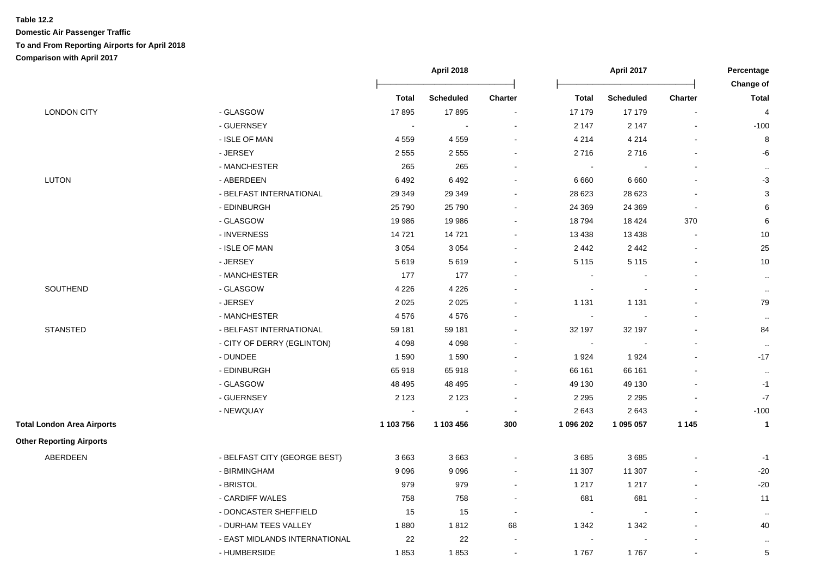|                                   |                               | <b>April 2018</b> |                  |                | <b>April 2017</b>        |                  |                | Percentage                |
|-----------------------------------|-------------------------------|-------------------|------------------|----------------|--------------------------|------------------|----------------|---------------------------|
|                                   |                               | <b>Total</b>      | <b>Scheduled</b> | <b>Charter</b> | Total                    | <b>Scheduled</b> | <b>Charter</b> | Change of<br><b>Total</b> |
|                                   |                               |                   |                  |                |                          | 17 179           |                |                           |
| <b>LONDON CITY</b>                | - GLASGOW                     | 17895             | 17895            | $\blacksquare$ | 17 179                   |                  |                | $\overline{\mathbf{4}}$   |
|                                   | - GUERNSEY                    | $\blacksquare$    |                  |                | 2 1 4 7                  | 2 1 4 7          |                | $-100$                    |
|                                   | - ISLE OF MAN                 | 4559              | 4 5 5 9          | $\blacksquare$ | 4 2 1 4                  | 4 2 1 4          |                | $\bf 8$                   |
|                                   | - JERSEY                      | 2555              | 2 5 5 5          | $\blacksquare$ | 2716                     | 2716             |                | -6                        |
|                                   | - MANCHESTER                  | 265               | 265              |                | $\sim$                   |                  |                | $\cdot$ .                 |
| <b>LUTON</b>                      | - ABERDEEN                    | 6492              | 6492             |                | 6660                     | 6660             |                | $-3$                      |
|                                   | - BELFAST INTERNATIONAL       | 29 349            | 29 34 9          |                | 28 6 23                  | 28 6 23          |                | $\ensuremath{\mathsf{3}}$ |
|                                   | - EDINBURGH                   | 25 790            | 25 790           |                | 24 3 69                  | 24 3 69          |                | $\,6$                     |
|                                   | - GLASGOW                     | 19 9 86           | 19 986           |                | 18794                    | 18 4 24          | 370            | $\,6$                     |
|                                   | - INVERNESS                   | 14721             | 14 721           |                | 13 4 38                  | 13 4 38          |                | 10                        |
|                                   | - ISLE OF MAN                 | 3 0 5 4           | 3 0 5 4          | $\blacksquare$ | 2442                     | 2 4 4 2          |                | 25                        |
|                                   | - JERSEY                      | 5619              | 5619             |                | 5 1 1 5                  | 5 1 1 5          |                | 10                        |
|                                   | - MANCHESTER                  | 177               | 177              | $\blacksquare$ | $\blacksquare$           |                  |                | $\ldots$                  |
| SOUTHEND                          | - GLASGOW                     | 4 2 2 6           | 4 2 2 6          |                | $\sim$                   |                  |                | $\cdot$ .                 |
|                                   | - JERSEY                      | 2025              | 2 0 2 5          |                | 1 1 3 1                  | 1 1 3 1          |                | 79                        |
|                                   | - MANCHESTER                  | 4576              | 4576             |                | $\sim$                   |                  |                | $\cdot$ .                 |
| <b>STANSTED</b>                   | - BELFAST INTERNATIONAL       | 59 181            | 59 181           |                | 32 197                   | 32 197           |                | 84                        |
|                                   | - CITY OF DERRY (EGLINTON)    | 4 0 9 8           | 4 0 9 8          | $\sim$         | $\sim$                   |                  |                | $\cdot$ .                 |
|                                   | - DUNDEE                      | 1590              | 1590             | $\sim$         | 1924                     | 1924             |                | $-17$                     |
|                                   | - EDINBURGH                   | 65918             | 65 918           | $\sim$         | 66 161                   | 66 161           |                | $\cdot$ .                 |
|                                   | - GLASGOW                     | 48 4 95           | 48 495           | $\blacksquare$ | 49 130                   | 49 130           |                | $-1$                      |
|                                   | - GUERNSEY                    | 2 1 2 3           | 2 1 2 3          | $\sim$         | 2 2 9 5                  | 2 2 9 5          |                | $-7$                      |
|                                   | - NEWQUAY                     | $\sim$            |                  | $\sim$         | 2643                     | 2643             |                | $-100$                    |
| <b>Total London Area Airports</b> |                               | 1 103 756         | 1 103 456        | 300            | 1 096 202                | 1 095 057        | 1 1 4 5        | $\mathbf{1}$              |
| <b>Other Reporting Airports</b>   |                               |                   |                  |                |                          |                  |                |                           |
| ABERDEEN                          | - BELFAST CITY (GEORGE BEST)  | 3663              | 3663             | $\sim$         | 3685                     | 3685             |                | $-1$                      |
|                                   | - BIRMINGHAM                  | 9 0 9 6           | 9 0 9 6          | $\blacksquare$ | 11 307                   | 11 307           |                | $-20$                     |
|                                   | - BRISTOL                     | 979               | 979              | $\sim$         | 1 2 1 7                  | 1 2 1 7          |                | $-20$                     |
|                                   | - CARDIFF WALES               | 758               | 758              | $\blacksquare$ | 681                      | 681              |                | 11                        |
|                                   | - DONCASTER SHEFFIELD         | 15                | 15               | $\sim$         | $\sim$                   |                  |                | $\cdot$ .                 |
|                                   | - DURHAM TEES VALLEY          | 1880              | 1812             | 68             | 1 3 4 2                  | 1 3 4 2          |                | 40                        |
|                                   | - EAST MIDLANDS INTERNATIONAL | 22                | 22               | $\blacksquare$ | $\overline{\phantom{a}}$ |                  |                | $\cdot$ .                 |
|                                   | - HUMBERSIDE                  | 1853              | 1853             | $\blacksquare$ | 1767                     | 1767             |                | $\mathbf 5$               |
|                                   |                               |                   |                  |                |                          |                  |                |                           |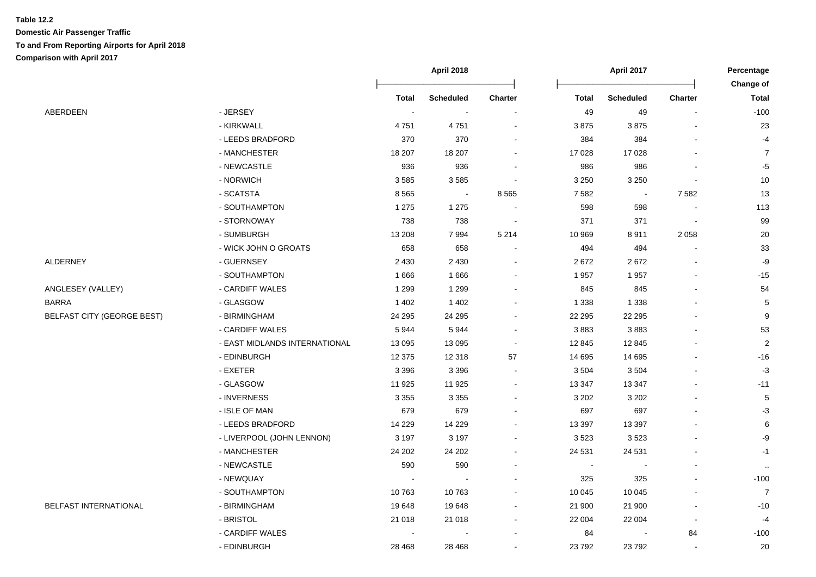|                                   |                               | April 2018   |                  |                | April 2017   |                  |                | Percentage<br><b>Change of</b> |
|-----------------------------------|-------------------------------|--------------|------------------|----------------|--------------|------------------|----------------|--------------------------------|
|                                   |                               | <b>Total</b> | <b>Scheduled</b> | <b>Charter</b> | <b>Total</b> | <b>Scheduled</b> | Charter        | <b>Total</b>                   |
| ABERDEEN                          | - JERSEY                      | $\sim$       | $\blacksquare$   |                | 49           | 49               | $\blacksquare$ | $-100$                         |
|                                   | - KIRKWALL                    | 4751         | 4751             |                | 3875         | 3875             |                | 23                             |
|                                   | - LEEDS BRADFORD              | 370          | 370              |                | 384          | 384              |                | $-4$                           |
|                                   | - MANCHESTER                  | 18 207       | 18 207           |                | 17 0 28      | 17 0 28          |                | $\overline{7}$                 |
|                                   | - NEWCASTLE                   | 936          | 936              |                | 986          | 986              |                | $-5$                           |
|                                   | - NORWICH                     | 3585         | 3 5 8 5          |                | 3 2 5 0      | 3 2 5 0          |                | $10$                           |
|                                   | - SCATSTA                     | 8565         | $\sim$           | 8565           | 7582         | $\blacksquare$   | 7582           | 13                             |
|                                   | - SOUTHAMPTON                 | 1 2 7 5      | 1 2 7 5          |                | 598          | 598              |                | 113                            |
|                                   | - STORNOWAY                   | 738          | 738              |                | 371          | 371              |                | 99                             |
|                                   | - SUMBURGH                    | 13 208       | 7994             | 5 2 1 4        | 10 969       | 8911             | 2058           | 20                             |
|                                   | - WICK JOHN O GROATS          | 658          | 658              |                | 494          | 494              |                | 33                             |
| ALDERNEY                          | - GUERNSEY                    | 2 4 3 0      | 2 4 3 0          |                | 2672         | 2672             |                | -9                             |
|                                   | - SOUTHAMPTON                 | 1666         | 1666             |                | 1957         | 1957             |                | $-15$                          |
| ANGLESEY (VALLEY)                 | - CARDIFF WALES               | 1 2 9 9      | 1 2 9 9          |                | 845          | 845              |                | 54                             |
| BARRA                             | - GLASGOW                     | 1 4 0 2      | 1 4 0 2          |                | 1 3 3 8      | 1 3 3 8          |                | 5                              |
| <b>BELFAST CITY (GEORGE BEST)</b> | - BIRMINGHAM                  | 24 29 5      | 24 29 5          |                | 22 2 9 5     | 22 2 95          |                | 9                              |
|                                   | - CARDIFF WALES               | 5944         | 5944             |                | 3883         | 3883             |                | 53                             |
|                                   | - EAST MIDLANDS INTERNATIONAL | 13 0 95      | 13 095           |                | 12 845       | 12 8 45          |                | $\overline{2}$                 |
|                                   | - EDINBURGH                   | 12 3 75      | 12 318           | 57             | 14 695       | 14 6 95          |                | $-16$                          |
|                                   | - EXETER                      | 3 3 9 6      | 3 3 9 6          |                | 3504         | 3504             |                | $-3$                           |
|                                   | - GLASGOW                     | 11 925       | 11 925           |                | 13 3 4 7     | 13 3 4 7         |                | $-11$                          |
|                                   | - INVERNESS                   | 3 3 5 5      | 3 3 5 5          |                | 3 2 0 2      | 3 2 0 2          |                | $\mathbf 5$                    |
|                                   | - ISLE OF MAN                 | 679          | 679              |                | 697          | 697              |                | $-3$                           |
|                                   | - LEEDS BRADFORD              | 14 2 29      | 14 2 29          |                | 13 3 9 7     | 13 3 9 7         |                | 6                              |
|                                   | - LIVERPOOL (JOHN LENNON)     | 3 1 9 7      | 3 1 9 7          |                | 3523         | 3523             |                | -9                             |
|                                   | - MANCHESTER                  | 24 20 2      | 24 202           |                | 24 5 31      | 24 5 31          |                | $-1$                           |
|                                   | - NEWCASTLE                   | 590          | 590              |                |              |                  |                | $\sim$                         |
|                                   | - NEWQUAY                     |              |                  |                | 325          | 325              |                | $-100$                         |
|                                   | - SOUTHAMPTON                 | 10763        | 10 763           |                | 10 045       | 10 045           |                | $\overline{7}$                 |
| BELFAST INTERNATIONAL             | - BIRMINGHAM                  | 19648        | 19 648           |                | 21 900       | 21 900           |                | $-10$                          |
|                                   | - BRISTOL                     | 21 018       | 21 018           |                | 22 004       | 22 004           | $\blacksquare$ | $-4$                           |
|                                   | - CARDIFF WALES               |              |                  |                | 84           |                  | 84             | $-100$                         |
|                                   | - EDINBURGH                   | 28 4 68      | 28 4 68          |                | 23792        | 23792            |                | 20                             |
|                                   |                               |              |                  |                |              |                  |                |                                |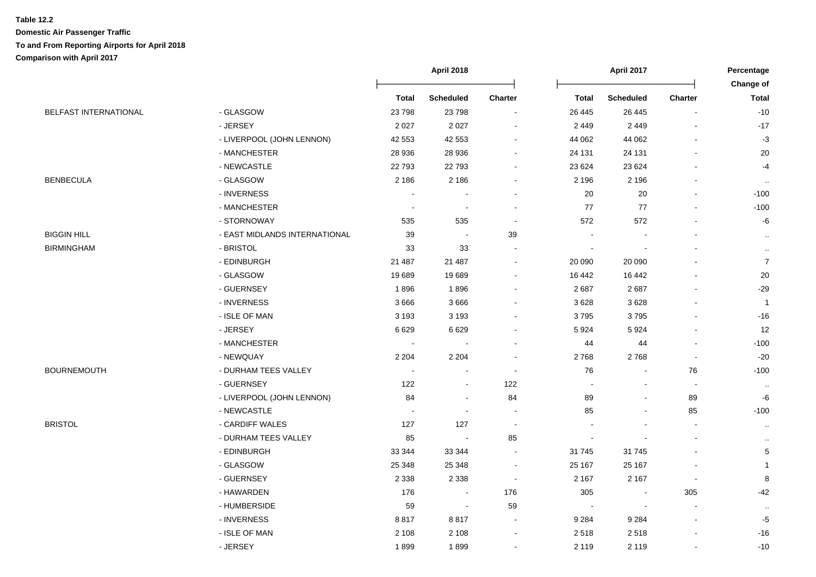|                              |                               | <b>April 2018</b> |                  |         | <b>April 2017</b> |                  |                | Percentage     |
|------------------------------|-------------------------------|-------------------|------------------|---------|-------------------|------------------|----------------|----------------|
|                              |                               |                   |                  |         |                   |                  |                | Change of      |
|                              |                               | <b>Total</b>      | <b>Scheduled</b> | Charter | <b>Total</b>      | <b>Scheduled</b> | Charter        | <b>Total</b>   |
| <b>BELFAST INTERNATIONAL</b> | - GLASGOW                     | 23798             | 23 798           |         | 26 4 45           | 26 4 45          |                | $-10$          |
|                              | - JERSEY                      | 2 0 2 7           | 2 0 2 7          |         | 2449              | 2 4 4 9          |                | $-17$          |
|                              | - LIVERPOOL (JOHN LENNON)     | 42 553            | 42 553           |         | 44 062            | 44 062           |                | $-3$           |
|                              | - MANCHESTER                  | 28 936            | 28 936           |         | 24 131            | 24 131           |                | 20             |
|                              | - NEWCASTLE                   | 22793             | 22 793           |         | 23 6 24           | 23 6 24          |                | $-4$           |
| BENBECULA                    | - GLASGOW                     | 2 1 8 6           | 2 1 8 6          |         | 2 1 9 6           | 2 1 9 6          |                | $\cdot$ .      |
|                              | - INVERNESS                   |                   |                  |         | 20                | 20               |                | $-100$         |
|                              | - MANCHESTER                  |                   |                  |         | 77                | 77               |                | $-100$         |
|                              | - STORNOWAY                   | 535               | 535              |         | 572               | 572              |                | -6             |
| BIGGIN HILL                  | - EAST MIDLANDS INTERNATIONAL | 39                |                  | 39      |                   |                  |                | $\cdot$ .      |
| <b>BIRMINGHAM</b>            | - BRISTOL                     | 33                | 33               |         |                   |                  |                | $\cdot$ .      |
|                              | - EDINBURGH                   | 21 487            | 21 487           |         | 20 090            | 20 090           |                | $\overline{7}$ |
|                              | - GLASGOW                     | 19689             | 19 689           |         | 16 442            | 16 442           |                | $20\,$         |
|                              | - GUERNSEY                    | 1896              | 1896             |         | 2687              | 2687             |                | $-29$          |
|                              | - INVERNESS                   | 3666              | 3 6 6 6          |         | 3628              | 3628             |                | $\mathbf{1}$   |
|                              | - ISLE OF MAN                 | 3 1 9 3           | 3 1 9 3          |         | 3795              | 3795             |                | $-16$          |
|                              | - JERSEY                      | 6629              | 6 6 2 9          |         | 5924              | 5924             |                | 12             |
|                              | - MANCHESTER                  |                   |                  |         | 44                | 44               |                | $-100$         |
|                              | - NEWQUAY                     | 2 2 0 4           | 2 2 0 4          |         | 2768              | 2768             |                | $-20$          |
| BOURNEMOUTH                  | - DURHAM TEES VALLEY          |                   |                  |         | 76                |                  | 76             | $-100$         |
|                              | - GUERNSEY                    | 122               |                  | 122     |                   |                  | $\blacksquare$ | $\cdot\cdot$   |
|                              | - LIVERPOOL (JOHN LENNON)     | 84                |                  | 84      | 89                |                  | 89             | -6             |
|                              | - NEWCASTLE                   |                   |                  |         | 85                |                  | 85             | $-100$         |
| BRISTOL                      | - CARDIFF WALES               | 127               | 127              |         |                   |                  | $\sim$         | $\cdot$ .      |
|                              | - DURHAM TEES VALLEY          | 85                |                  | 85      |                   |                  |                | $\cdot$ .      |
|                              | - EDINBURGH                   | 33 344            | 33 344           |         | 31745             | 31 7 45          |                | $\,$ 5 $\,$    |
|                              | - GLASGOW                     | 25 348            | 25 348           |         | 25 167            | 25 167           |                | $\mathbf{1}$   |
|                              | - GUERNSEY                    | 2 3 3 8           | 2 3 3 8          | $\sim$  | 2 1 6 7           | 2 1 6 7          |                | $\bf 8$        |
|                              | - HAWARDEN                    | 176               | $\sim$           | 176     | 305               |                  | 305            | -42            |
|                              | - HUMBERSIDE                  | 59                | $\sim$           | 59      |                   |                  |                |                |
|                              | - INVERNESS                   | 8817              | 8817             |         | 9 2 8 4           | 9 2 8 4          |                | $-5$           |
|                              | - ISLE OF MAN                 | 2 1 0 8           | 2 1 0 8          |         | 2518              | 2518             |                | $-16$          |
|                              | - JERSEY                      | 1899              | 1899             |         | 2 1 1 9           | 2 1 1 9          |                | $-10$          |
|                              |                               |                   |                  |         |                   |                  |                |                |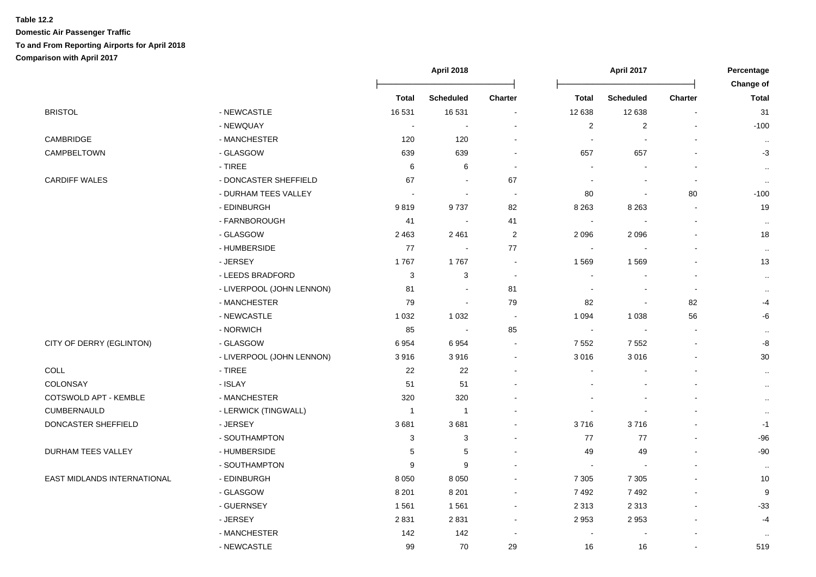|                             |                           | <b>April 2018</b> |                  |                          | <b>April 2017</b> |                      |                          | Percentage                |
|-----------------------------|---------------------------|-------------------|------------------|--------------------------|-------------------|----------------------|--------------------------|---------------------------|
|                             |                           | <b>Total</b>      | <b>Scheduled</b> | <b>Charter</b>           | <b>Total</b>      | <b>Scheduled</b>     | <b>Charter</b>           | Change of<br><b>Total</b> |
| <b>BRISTOL</b>              | - NEWCASTLE               | 16 531            | 16 531           | $\overline{\phantom{a}}$ | 12 638            | 12 638               | $\blacksquare$           | 31                        |
|                             | - NEWQUAY                 | $\sim$            | $\sim$           |                          | $\overline{c}$    | $\sqrt{2}$           |                          | $-100$                    |
| CAMBRIDGE                   | - MANCHESTER              | 120               | 120              | $\blacksquare$           |                   | $\overline{a}$       |                          |                           |
| CAMPBELTOWN                 | - GLASGOW                 | 639               | 639              | $\sim$                   | 657               | 657                  |                          | $\sim$<br>$-3$            |
|                             | $-$ TIREE                 | $\,6$             | 6                | $\overline{\phantom{a}}$ |                   |                      |                          |                           |
| <b>CARDIFF WALES</b>        | - DONCASTER SHEFFIELD     | 67                |                  | 67                       |                   |                      | $\overline{\phantom{a}}$ | $\cdot$ .                 |
|                             | - DURHAM TEES VALLEY      |                   | $\blacksquare$   | $\overline{\phantom{a}}$ | 80                | $\ddot{\phantom{a}}$ | 80                       | $\sim$<br>$-100$          |
|                             | - EDINBURGH               | 9819              | 9737             | 82                       | 8 2 6 3           | 8 2 6 3              | $\blacksquare$           | 19                        |
|                             | - FARNBOROUGH             | 41                |                  | 41                       |                   |                      |                          |                           |
|                             | - GLASGOW                 | 2 4 6 3           | 2 4 6 1          | $\overline{c}$           | 2096              | 2096                 |                          | $\sim$<br>18              |
|                             | - HUMBERSIDE              | 77                | $\sim$           | 77                       |                   |                      |                          |                           |
|                             | - JERSEY                  | 1767              | 1767             | $\blacksquare$           | 1569              | 1569                 |                          | $\ddotsc$<br>13           |
|                             | - LEEDS BRADFORD          | 3                 | 3                | $\sim$                   |                   |                      | $\blacksquare$           |                           |
|                             | - LIVERPOOL (JOHN LENNON) | 81                | $\blacksquare$   | 81                       |                   | $\blacksquare$       | $\blacksquare$           | $\cdot$ .                 |
|                             | - MANCHESTER              | 79                | $\blacksquare$   | 79                       | 82                | $\blacksquare$       | 82                       | $\cdot$ .<br>$-4$         |
|                             | - NEWCASTLE               | 1 0 3 2           | 1 0 3 2          | $\sim$                   | 1 0 9 4           | 1 0 3 8              | 56                       | -6                        |
|                             | - NORWICH                 | 85                | $\sim$           | 85                       | $\overline{a}$    | $\overline{a}$       |                          |                           |
| CITY OF DERRY (EGLINTON)    | - GLASGOW                 | 6954              | 6954             |                          | 7552              | 7 5 5 2              |                          | $\cdot$ .<br>-8           |
|                             | - LIVERPOOL (JOHN LENNON) | 3916              | 3916             | ÷,                       | 3016              | 3016                 |                          | 30                        |
| <b>COLL</b>                 | - TIREE                   | 22                | 22               |                          |                   |                      |                          | $\cdot$ .                 |
| COLONSAY                    | - ISLAY                   | 51                | 51               |                          |                   |                      |                          | $\cdot$ .                 |
| COTSWOLD APT - KEMBLE       | - MANCHESTER              | 320               | 320              |                          |                   |                      |                          | $\ddotsc$                 |
| CUMBERNAULD                 | - LERWICK (TINGWALL)      | $\mathbf{1}$      | $\mathbf{1}$     |                          |                   |                      |                          | $\ddotsc$                 |
| DONCASTER SHEFFIELD         | - JERSEY                  | 3681              | 3681             | $\overline{\phantom{a}}$ | 3716              | 3716                 |                          | $-1$                      |
|                             | - SOUTHAMPTON             | 3                 | 3                | $\overline{\phantom{a}}$ | 77                | 77                   |                          | $-96$                     |
| DURHAM TEES VALLEY          | - HUMBERSIDE              | 5                 | 5                | $\overline{a}$           | 49                | 49                   |                          | $-90$                     |
|                             | - SOUTHAMPTON             | 9                 | 9                |                          | $\sim$            | L,                   |                          | $\sim$                    |
| EAST MIDLANDS INTERNATIONAL | - EDINBURGH               | 8 0 5 0           | 8 0 5 0          | $\blacksquare$           | 7 3 0 5           | 7 3 0 5              |                          | 10                        |
|                             | - GLASGOW                 | 8 2 0 1           | 8 2 0 1          | $\sim$                   | 7492              | 7492                 |                          | 9                         |
|                             | - GUERNSEY                | 1561              | 1 5 6 1          | $\sim$                   | 2 3 1 3           | 2 3 1 3              |                          | $-33$                     |
|                             | - JERSEY                  | 2831              | 2 8 3 1          |                          | 2953              | 2953                 |                          | $-4$                      |
|                             | - MANCHESTER              | 142               | 142              |                          |                   |                      |                          | $\sim$                    |
|                             | - NEWCASTLE               | 99                | 70               | 29                       | 16                | 16                   |                          | 519                       |
|                             |                           |                   |                  |                          |                   |                      |                          |                           |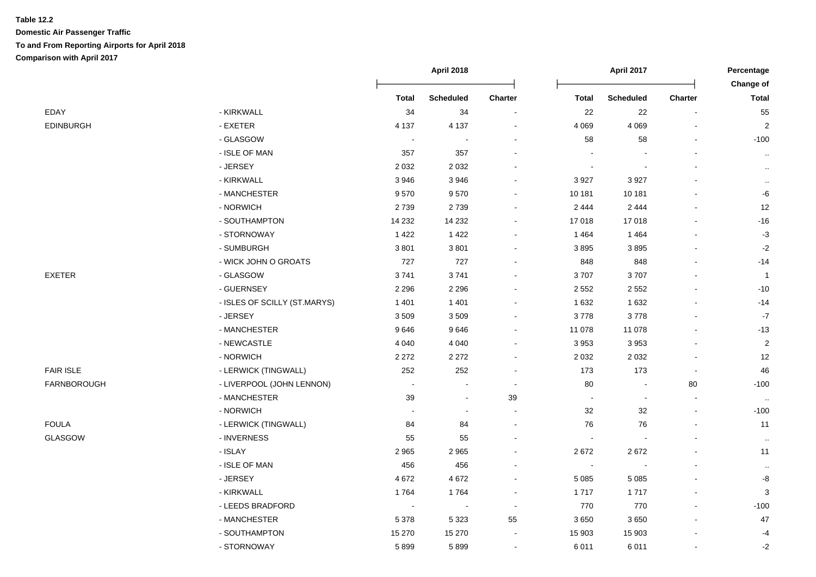|                  |                              | <b>April 2018</b>        |                  |         |                          | <b>April 2017</b> |                |                    |
|------------------|------------------------------|--------------------------|------------------|---------|--------------------------|-------------------|----------------|--------------------|
|                  |                              | <b>Total</b>             | <b>Scheduled</b> | Charter | <b>Total</b>             | <b>Scheduled</b>  | Charter        | Change of<br>Total |
| EDAY             | - KIRKWALL                   | 34                       | 34               |         | 22                       | 22                | $\blacksquare$ | 55                 |
| <b>EDINBURGH</b> | - EXETER                     | 4 1 3 7                  | 4 1 3 7          |         | 4 0 6 9                  | 4 0 6 9           |                | $\overline{c}$     |
|                  | - GLASGOW                    | $\overline{\phantom{a}}$ |                  |         | 58                       | 58                |                | $-100$             |
|                  | - ISLE OF MAN                | 357                      | 357              |         |                          |                   |                | $\cdot$ .          |
|                  | - JERSEY                     | 2 0 3 2                  | 2 0 3 2          |         |                          |                   |                | $\cdot$ .          |
|                  | - KIRKWALL                   | 3946                     | 3 9 4 6          |         | 3927                     | 3 9 2 7           |                | $\cdot$ .          |
|                  | - MANCHESTER                 | 9570                     | 9570             |         | 10 181                   | 10 181            |                | -6                 |
|                  | - NORWICH                    | 2739                     | 2739             |         | 2 4 4 4                  | 2 4 4 4           |                | 12                 |
|                  | - SOUTHAMPTON                | 14 2 32                  | 14 232           |         | 17018                    | 17018             |                | $-16$              |
|                  | - STORNOWAY                  | 1 4 2 2                  | 1 4 2 2          |         | 1464                     | 1 4 6 4           |                | $-3$               |
|                  | - SUMBURGH                   | 3801                     | 3801             |         | 3895                     | 3895              |                | $-2$               |
|                  | - WICK JOHN O GROATS         | 727                      | 727              |         | 848                      | 848               |                | $-14$              |
| <b>EXETER</b>    | - GLASGOW                    | 3741                     | 3741             |         | 3707                     | 3707              |                | $\overline{1}$     |
|                  | - GUERNSEY                   | 2 2 9 6                  | 2 2 9 6          |         | 2 5 5 2                  | 2 5 5 2           |                | $-10$              |
|                  | - ISLES OF SCILLY (ST.MARYS) | 1 4 0 1                  | 1 4 0 1          |         | 1632                     | 1 6 3 2           |                | $-14$              |
|                  | - JERSEY                     | 3509                     | 3 5 0 9          |         | 3778                     | 3778              |                | $-7$               |
|                  | - MANCHESTER                 | 9646                     | 9646             |         | 11 078                   | 11 078            |                | $-13$              |
|                  | - NEWCASTLE                  | 4 0 4 0                  | 4 0 4 0          |         | 3953                     | 3 9 5 3           |                | $\overline{c}$     |
|                  | - NORWICH                    | 2 2 7 2                  | 2 2 7 2          |         | 2 0 3 2                  | 2 0 3 2           |                | $12$               |
| <b>FAIR ISLE</b> | - LERWICK (TINGWALL)         | 252                      | 252              |         | 173                      | 173               |                | 46                 |
| FARNBOROUGH      | - LIVERPOOL (JOHN LENNON)    | $\overline{\phantom{a}}$ |                  |         | 80                       | $\blacksquare$    | 80             | $-100$             |
|                  | - MANCHESTER                 | 39                       | $\blacksquare$   | 39      | $\blacksquare$           | $\blacksquare$    | $\blacksquare$ | $\sim$             |
|                  | - NORWICH                    |                          |                  |         | 32                       | 32                | $\overline{a}$ | $-100$             |
| FOULA            | - LERWICK (TINGWALL)         | 84                       | 84               |         | 76                       | 76                |                | 11                 |
| GLASGOW          | - INVERNESS                  | 55                       | 55               |         | $\blacksquare$           |                   |                | $\sim$             |
|                  | - ISLAY                      | 2 9 6 5                  | 2 9 6 5          |         | 2672                     | 2672              |                | 11                 |
|                  | - ISLE OF MAN                | 456                      | 456              |         | $\overline{\phantom{a}}$ | $\blacksquare$    |                | $\sim$             |
|                  | - JERSEY                     | 4672                     | 4 6 7 2          |         | 5 0 8 5                  | 5 0 8 5           |                | -8                 |
|                  | - KIRKWALL                   | 1764                     | 1764             |         | 1717                     | 1717              |                | 3                  |
|                  | - LEEDS BRADFORD             |                          |                  |         | 770                      | 770               |                | $-100$             |
|                  | - MANCHESTER                 | 5 3 7 8                  | 5 3 2 3          | 55      | 3650                     | 3650              |                | 47                 |
|                  | - SOUTHAMPTON                | 15 270                   | 15 270           |         | 15 903                   | 15 903            |                | $-4$               |
|                  | - STORNOWAY                  | 5899                     | 5899             |         | 6011                     | 6011              |                | $-2$               |
|                  |                              |                          |                  |         |                          |                   |                |                    |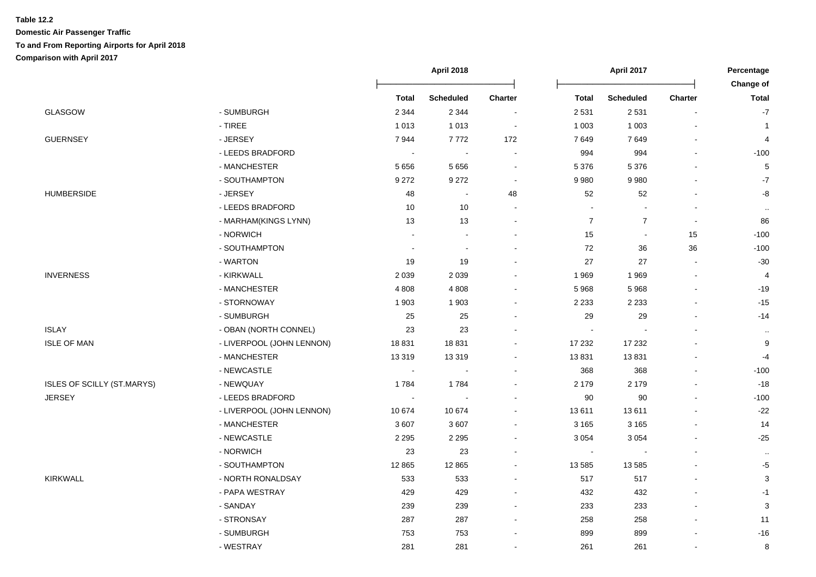|                            |                           | April 2018   |                  |                          | April 2017       |                  |                          | Percentage     |
|----------------------------|---------------------------|--------------|------------------|--------------------------|------------------|------------------|--------------------------|----------------|
|                            |                           |              |                  |                          |                  |                  |                          | Change of      |
|                            |                           | <b>Total</b> | <b>Scheduled</b> | <b>Charter</b>           | <b>Total</b>     | <b>Scheduled</b> | <b>Charter</b>           | <b>Total</b>   |
| <b>GLASGOW</b>             | - SUMBURGH                | 2 3 4 4      | 2 3 4 4          | $\overline{\phantom{a}}$ | 2 5 3 1          | 2 5 3 1          |                          | $-7$           |
|                            | - TIREE                   | 1013         | 1 0 1 3          |                          | 1 0 0 3          | 1 0 0 3          |                          | $\overline{1}$ |
| <b>GUERNSEY</b>            | - JERSEY                  | 7944         | 7772             | 172                      | 7649             | 7649             |                          | 4              |
|                            | - LEEDS BRADFORD          |              |                  |                          | 994              | 994              |                          | $-100$         |
|                            | - MANCHESTER              | 5656         | 5 6 5 6          |                          | 5 3 7 6          | 5 3 7 6          |                          | $\mathbf 5$    |
|                            | - SOUTHAMPTON             | 9 2 7 2      | 9 2 7 2          | $\overline{\phantom{a}}$ | 9980             | 9980             |                          | $-7$           |
| <b>HUMBERSIDE</b>          | - JERSEY                  | 48           | $\blacksquare$   | 48                       | 52               | 52               |                          | -8             |
|                            | - LEEDS BRADFORD          | 10           | 10               |                          |                  |                  |                          | $\cdot$        |
|                            | - MARHAM(KINGS LYNN)      | 13           | 13               |                          | $\boldsymbol{7}$ | $\boldsymbol{7}$ | $\overline{\phantom{a}}$ | 86             |
|                            | - NORWICH                 |              |                  |                          | 15               | $\sim$           | 15                       | $-100$         |
|                            | - SOUTHAMPTON             |              | $\sim$           |                          | 72               | 36               | 36                       | $-100$         |
|                            | - WARTON                  | 19           | 19               |                          | 27               | 27               |                          | $-30$          |
| <b>INVERNESS</b>           | - KIRKWALL                | 2 0 3 9      | 2 0 3 9          |                          | 1969             | 1969             |                          | 4              |
|                            | - MANCHESTER              | 4808         | 4 8 0 8          |                          | 5 9 6 8          | 5968             |                          | $-19$          |
|                            | - STORNOWAY               | 1 903        | 1 903            |                          | 2 2 3 3          | 2 2 3 3          |                          | $-15$          |
|                            | - SUMBURGH                | 25           | 25               |                          | 29               | 29               |                          | $-14$          |
| <b>ISLAY</b>               | - OBAN (NORTH CONNEL)     | 23           | 23               |                          |                  |                  |                          | $\cdot\cdot$   |
| <b>ISLE OF MAN</b>         | - LIVERPOOL (JOHN LENNON) | 18831        | 18 8 31          |                          | 17 232           | 17 232           |                          | 9              |
|                            | - MANCHESTER              | 13 3 19      | 13 319           |                          | 13831            | 13831            |                          | $-4$           |
|                            | - NEWCASTLE               |              |                  |                          | 368              | 368              |                          | $-100$         |
| ISLES OF SCILLY (ST.MARYS) | - NEWQUAY                 | 1784         | 1784             |                          | 2 1 7 9          | 2 1 7 9          |                          | $-18$          |
| <b>JERSEY</b>              | - LEEDS BRADFORD          |              |                  |                          | 90               | 90               |                          | $-100$         |
|                            | - LIVERPOOL (JOHN LENNON) | 10 674       | 10 674           |                          | 13611            | 13611            |                          | $-22$          |
|                            | - MANCHESTER              | 3607         | 3 607            |                          | 3 1 6 5          | 3 1 6 5          |                          | 14             |
|                            | - NEWCASTLE               | 2 2 9 5      | 2 2 9 5          |                          | 3 0 5 4          | 3 0 5 4          |                          | $-25$          |
|                            | - NORWICH                 | 23           | 23               |                          |                  |                  |                          | $\cdot$ .      |
|                            | - SOUTHAMPTON             | 12 8 65      | 12 8 65          |                          | 13 5 85          | 13 5 85          |                          | $-5$           |
| <b>KIRKWALL</b>            | - NORTH RONALDSAY         | 533          | 533              |                          | 517              | 517              |                          | 3              |
|                            | - PAPA WESTRAY            | 429          | 429              |                          | 432              | 432              |                          | $-1$           |
|                            | - SANDAY                  | 239          | 239              |                          | 233              | 233              |                          | 3              |
|                            | - STRONSAY                | 287          | 287              |                          | 258              | 258              |                          | 11             |
|                            | - SUMBURGH                | 753          | 753              |                          | 899              | 899              |                          | $-16$          |
|                            | - WESTRAY                 | 281          | 281              |                          | 261              | 261              |                          | 8              |
|                            |                           |              |                  |                          |                  |                  |                          |                |